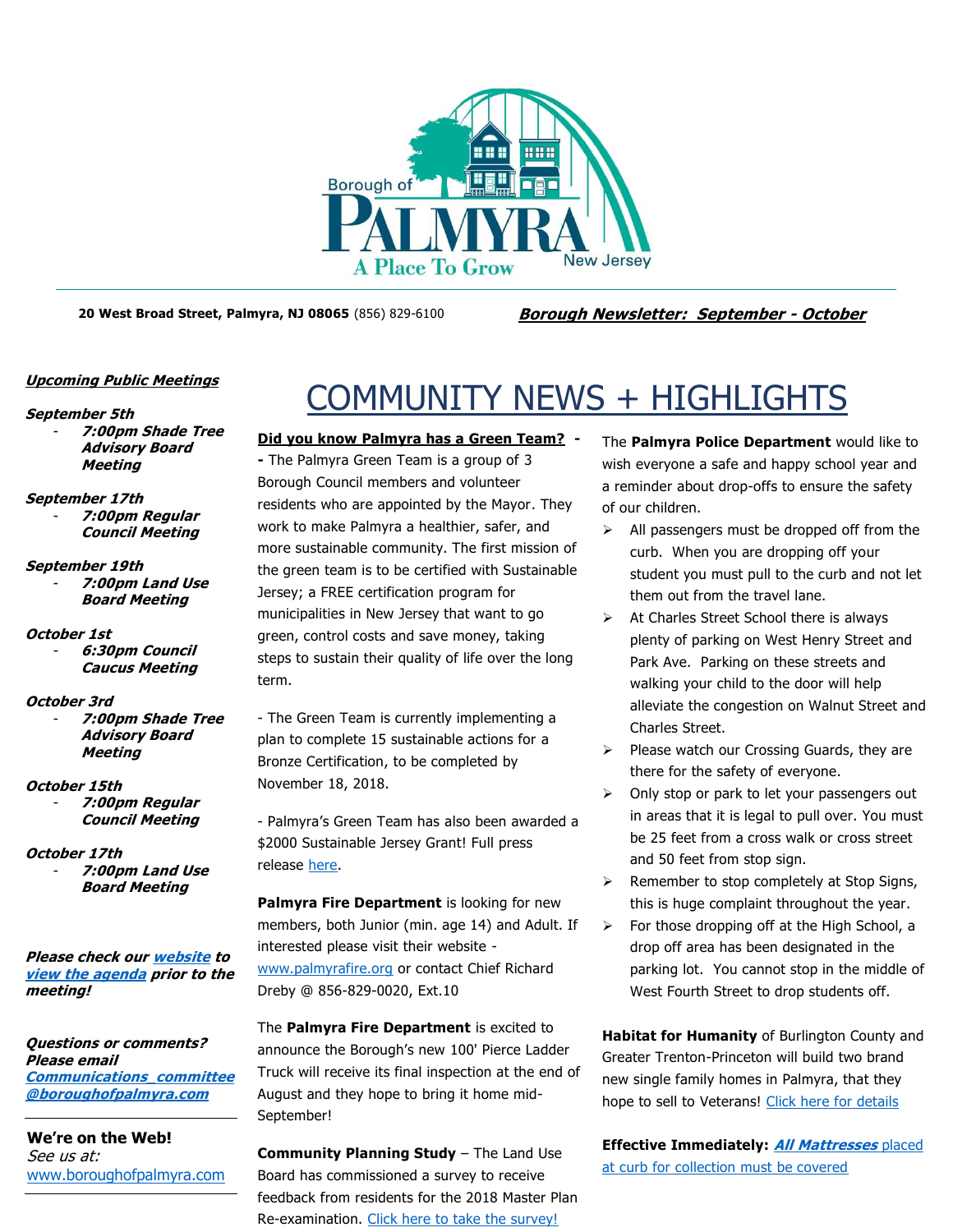

**20 West Broad Street, Palmyra, NJ 08065** (856) 829-6100 **Borough Newsletter: September - October**

# **Upcoming Public Meetings**

### **September 5th**

- **7:00pm Shade Tree Advisory Board Meeting**
- **September 17th**
	- **7:00pm Regular Council Meeting**

# **September 19th** - **7:00pm Land Use Board Meeting**

- **October 1st**
	- **6:30pm Council Caucus Meeting**

# **October 3rd**

- **7:00pm Shade Tree Advisory Board Meeting**

# **October 15th**

- **7:00pm Regular Council Meeting**

# **October 17th**

- **7:00pm Land Use Board Meeting**

**Please check ou[r website](http://boroughofpalmyra.com/minutes-agendas) to [view the agenda](http://boroughofpalmyra.com/minutes-agendas) prior to the meeting!**

**Questions or comments? Please email [Communications\\_committee](mailto:Communications_committee@boroughofpalmyra.com) [@boroughofpalmyra.com](mailto:Communications_committee@boroughofpalmyra.com)**

**We're on the Web!** See us at: [www.boroughofpalmyra.com](file:///C:/Users/ballmond/AppData/Roaming/Microsoft/Word/www.boroughofpalmyra.com)

# COMMUNITY NEWS + HIGHLIGHTS

# **Did you know Palmyra has a Green Team? -**

**-** The Palmyra Green Team is a group of 3 Borough Council members and volunteer residents who are appointed by the Mayor. They work to make Palmyra a healthier, safer, and more sustainable community. The first mission of the green team is to be certified with Sustainable Jersey; a FREE certification program for municipalities in New Jersey that want to go green, control costs and save money, taking steps to sustain their quality of life over the long term.

- The Green Team is currently implementing a plan to complete 15 sustainable actions for a Bronze Certification, to be completed by November 18, 2018.

- Palmyra's Green Team has also been awarded a \$2000 Sustainable Jersey Grant! Full press release [here.](http://boroughofpalmyra.com/wp-content/uploads/2018/05/2018-PSEG-SJ-2k-Grant-Recipient-Press-Release.pdf)

**Palmyra Fire Department** is looking for new members, both Junior (min. age 14) and Adult. If interested please visit their website [www.palmyrafire.org](http://www.palmyrafire.org/) or contact Chief Richard Dreby @ 856-829-0020, Ext.10

The **Palmyra Fire Department** is excited to announce the Borough's new 100' Pierce Ladder Truck will receive its final inspection at the end of August and they hope to bring it home mid-September!

**Community Planning Study** – The Land Use Board has commissioned a survey to receive feedback from residents for the 2018 Master Plan Re-examination. [Click here to take the survey!](http://boroughofpalmyra.com/community-planning-study-take-the-surveymonkey-survey-now) 

The **Palmyra Police Department** would like to wish everyone a safe and happy school year and a reminder about drop-offs to ensure the safety of our children.

- ➢ All passengers must be dropped off from the curb. When you are dropping off your student you must pull to the curb and not let them out from the travel lane.
- ➢ At Charles Street School there is always plenty of parking on West Henry Street and Park Ave. Parking on these streets and walking your child to the door will help alleviate the congestion on Walnut Street and Charles Street.
- ➢ Please watch our Crossing Guards, they are there for the safety of everyone.
- ➢ Only stop or park to let your passengers out in areas that it is legal to pull over. You must be 25 feet from a cross walk or cross street and 50 feet from stop sign.
- ➢ Remember to stop completely at Stop Signs, this is huge complaint throughout the year.
- $\triangleright$  For those dropping off at the High School, a drop off area has been designated in the parking lot. You cannot stop in the middle of West Fourth Street to drop students off.

**Habitat for Humanity** of Burlington County and Greater Trenton-Princeton will build two brand new single family homes in Palmyra, that they hope to sell to Veterans! [Click here for details](http://boroughofpalmyra.com/homes-for-veterans)

**Effective Immediately: [All Mattresses](http://boroughofpalmyra.com/effective-immediately-all-mattresses-placed-at-the-curb-for-collection-must-be-covered)** placed [at curb for collection must be covered](http://boroughofpalmyra.com/effective-immediately-all-mattresses-placed-at-the-curb-for-collection-must-be-covered)